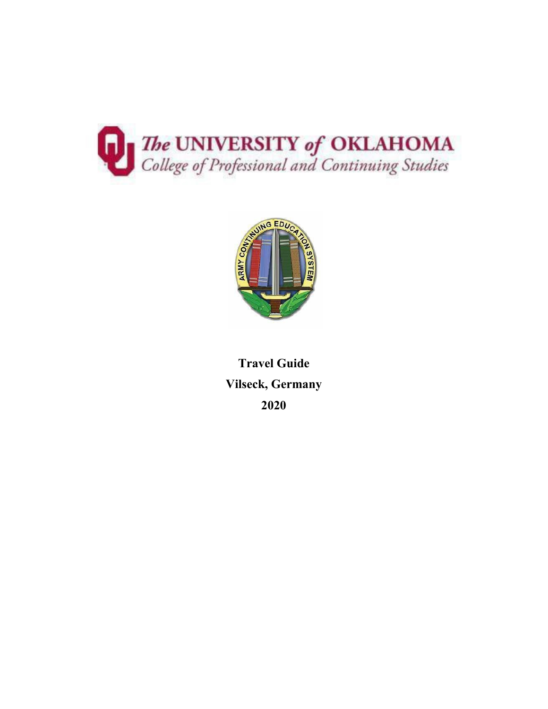



**Travel Guide Vilseck, Germany 2020**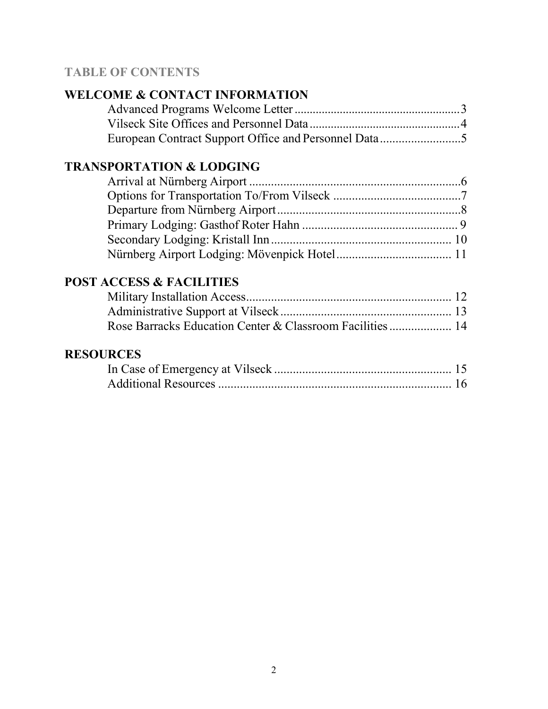## **TABLE OF CONTENTS**

| <b>WELCOME &amp; CONTACT INFORMATION</b>                 |  |
|----------------------------------------------------------|--|
|                                                          |  |
|                                                          |  |
| European Contract Support Office and Personnel Data5     |  |
| <b>TRANSPORTATION &amp; LODGING</b>                      |  |
|                                                          |  |
|                                                          |  |
|                                                          |  |
|                                                          |  |
|                                                          |  |
|                                                          |  |
| <b>POST ACCESS &amp; FACILITIES</b>                      |  |
|                                                          |  |
|                                                          |  |
| Rose Barracks Education Center & Classroom Facilities 14 |  |

## **RESOURCES**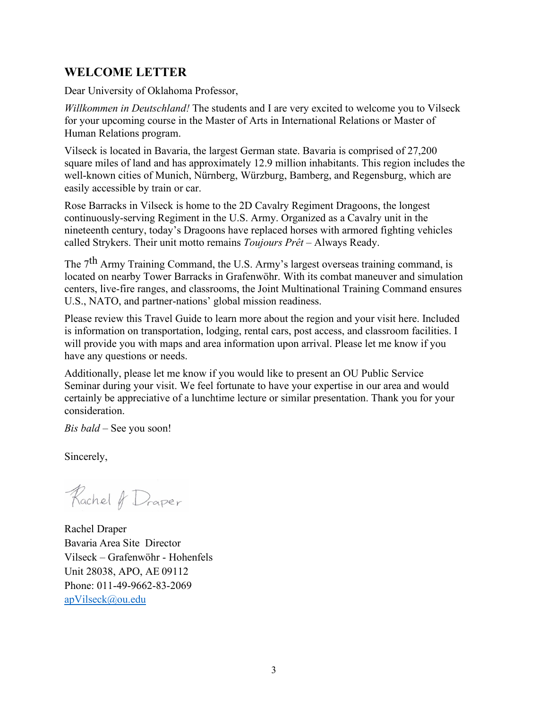### **WELCOME LETTER**

Dear University of Oklahoma Professor,

*Willkommen in Deutschland!* The students and I are very excited to welcome you to Vilseck for your upcoming course in the Master of Arts in International Relations or Master of Human Relations program.

Vilseck is located in Bavaria, the largest German state. Bavaria is comprised of 27,200 square miles of land and has approximately 12.9 million inhabitants. This region includes the well-known cities of Munich, Nürnberg, Würzburg, Bamberg, and Regensburg, which are easily accessible by train or car.

Rose Barracks in Vilseck is home to the 2D Cavalry Regiment Dragoons, the longest continuously-serving Regiment in the U.S. Army. Organized as a Cavalry unit in the nineteenth century, today's Dragoons have replaced horses with armored fighting vehicles called Strykers. Their unit motto remains *Toujours Prêt* – Always Ready.

The 7<sup>th</sup> Army Training Command, the U.S. Army's largest overseas training command, is located on nearby Tower Barracks in Grafenwöhr. With its combat maneuver and simulation centers, live-fire ranges, and classrooms, the Joint Multinational Training Command ensures U.S., NATO, and partner-nations' global mission readiness.

Please review this Travel Guide to learn more about the region and your visit here. Included is information on transportation, lodging, rental cars, post access, and classroom facilities. I will provide you with maps and area information upon arrival. Please let me know if you have any questions or needs.

Additionally, please let me know if you would like to present an OU Public Service Seminar during your visit. We feel fortunate to have your expertise in our area and would certainly be appreciative of a lunchtime lecture or similar presentation. Thank you for your consideration.

*Bis bald –* See you soon!

Sincerely,

Rachel & Draper

Rachel Draper Bavaria Area Site Director Vilseck – Grafenwöhr - Hohenfels Unit 28038, APO, AE 09112 Phone: 011-49-9662-83-2069 [apVilseck@ou.edu](mailto:apVilseck@ou.edu)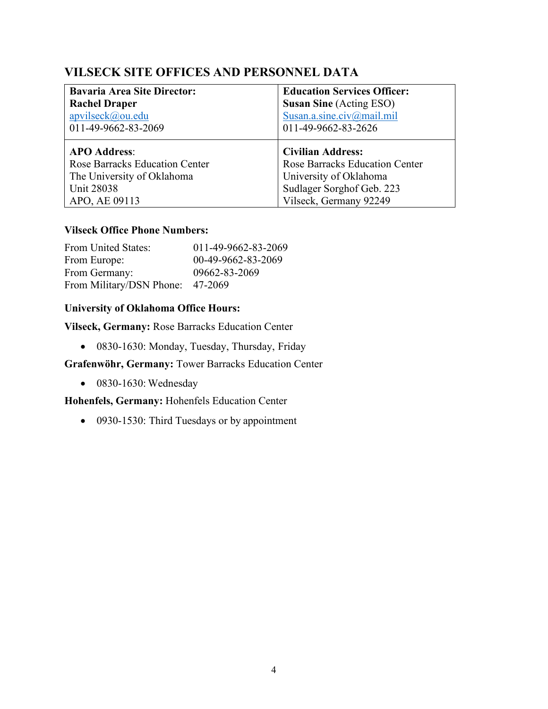## **VILSECK SITE OFFICES AND PERSONNEL DATA**

| <b>Bavaria Area Site Director:</b>    | <b>Education Services Officer:</b>    |
|---------------------------------------|---------------------------------------|
| <b>Rachel Draper</b>                  | <b>Susan Sine (Acting ESO)</b>        |
| apvilseck@ou.edu                      | Susan.a.sine.civ@mail.mil             |
| 011-49-9662-83-2069                   | 011-49-9662-83-2626                   |
| <b>APO Address:</b>                   | <b>Civilian Address:</b>              |
| <b>Rose Barracks Education Center</b> | <b>Rose Barracks Education Center</b> |
| The University of Oklahoma            | University of Oklahoma                |
| <b>Unit 28038</b>                     | Sudlager Sorghof Geb. 223             |
| APO, AE 09113                         | Vilseck, Germany 92249                |

#### **Vilseck Office Phone Numbers:**

| From United States:              | 011-49-9662-83-2069 |
|----------------------------------|---------------------|
| From Europe:                     | 00-49-9662-83-2069  |
| From Germany:                    | 09662-83-2069       |
| From Military/DSN Phone: 47-2069 |                     |

#### **University of Oklahoma Office Hours:**

**Vilseck, Germany:** Rose Barracks Education Center

• 0830-1630: Monday, Tuesday, Thursday, Friday

**Grafenwöhr, Germany:** Tower Barracks Education Center

• 0830-1630: Wednesday

**Hohenfels, Germany:** Hohenfels Education Center

• 0930-1530: Third Tuesdays or by appointment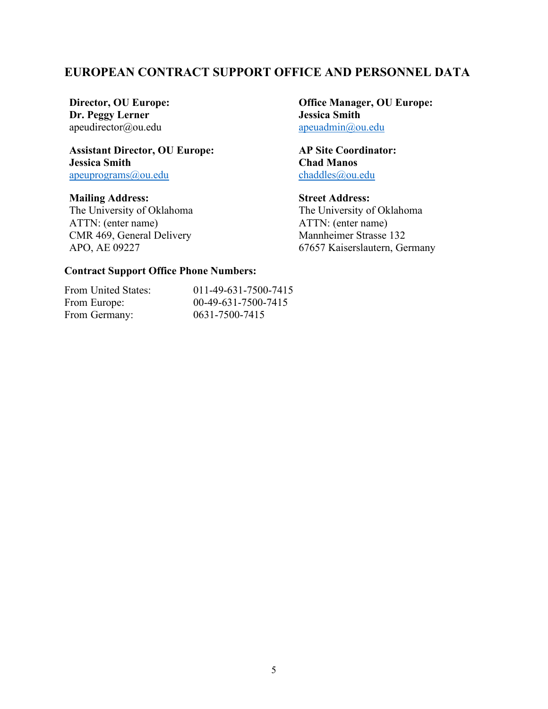#### **EUROPEAN CONTRACT SUPPORT OFFICE AND PERSONNEL DATA**

**Director, OU Europe: Dr. Peggy Lerner** [apeudirector@ou.edu](mailto:apeudirector@ou.edu)

**Assistant Director, OU Europe: Jessica Smith** [apeuprograms@ou.edu](mailto:apeuprograms@ou.edu)

**Mailing Address:**

The University of Oklahoma ATTN: (enter name) CMR 469, General Delivery APO, AE 09227

**Office Manager, OU Europe: Jessica Smith** [apeuadmin@ou.edu](mailto:apeuadmin@ou.edu)

**AP Site Coordinator: Chad Manos** [chaddles@ou.edu](mailto:chaddles@ou.edu)

**Street Address:** The University of Oklahoma ATTN: (enter name) Mannheimer Strasse 132 67657 Kaiserslautern, Germany

#### **Contract Support Office Phone Numbers:**

| From United States: | 011-49-631-7500-7415 |
|---------------------|----------------------|
| From Europe:        | 00-49-631-7500-7415  |
| From Germany:       | 0631-7500-7415       |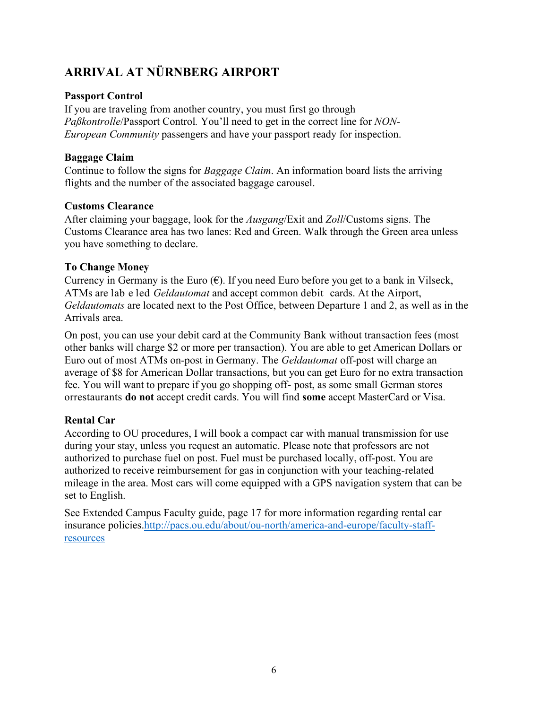## **ARRIVAL AT NÜRNBERG AIRPORT**

#### **Passport Control**

If you are traveling from another country, you must first go through *Paßkontrolle*/Passport Control*.* You'll need to get in the correct line for *NON-European Community* passengers and have your passport ready for inspection.

#### **Baggage Claim**

Continue to follow the signs for *Baggage Claim*. An information board lists the arriving flights and the number of the associated baggage carousel.

#### **Customs Clearance**

After claiming your baggage, look for the *Ausgang*/Exit and *Zoll*/Customs signs. The Customs Clearance area has two lanes: Red and Green. Walk through the Green area unless you have something to declare.

#### **To Change Money**

Currency in Germany is the Euro  $(\epsilon)$ . If you need Euro before you get to a bank in Vilseck, ATMs are lab e led *Geldautomat* and accept common debit cards. At the Airport, *Geldautomats* are located next to the Post Office, between Departure 1 and 2, as well as in the Arrivals area.

On post, you can use your debit card at the Community Bank without transaction fees (most other banks will charge \$2 or more per transaction). You are able to get American Dollars or Euro out of most ATMs on-post in Germany. The *Geldautomat* off-post will charge an average of \$8 for American Dollar transactions, but you can get Euro for no extra transaction fee. You will want to prepare if you go shopping off- post, as some small German stores orrestaurants **do not** accept credit cards. You will find **some** accept MasterCard or Visa.

#### **Rental Car**

According to OU procedures, I will book a compact car with manual transmission for use during your stay, unless you request an automatic. Please note that professors are not authorized to purchase fuel on post. Fuel must be purchased locally, off-post. You are authorized to receive reimbursement for gas in conjunction with your teaching-related mileage in the area. Most cars will come equipped with a GPS navigation system that can be set to English.

See Extended Campus Faculty guide, page 17 for more information regarding rental car insurance policies[.http://pacs.ou.edu/about/ou-north/america-and-europe/faculty-staff](http://pacs.ou.edu/about/ou-north/america-and-europe/faculty-staff-resources)[resources](http://pacs.ou.edu/about/ou-north/america-and-europe/faculty-staff-resources)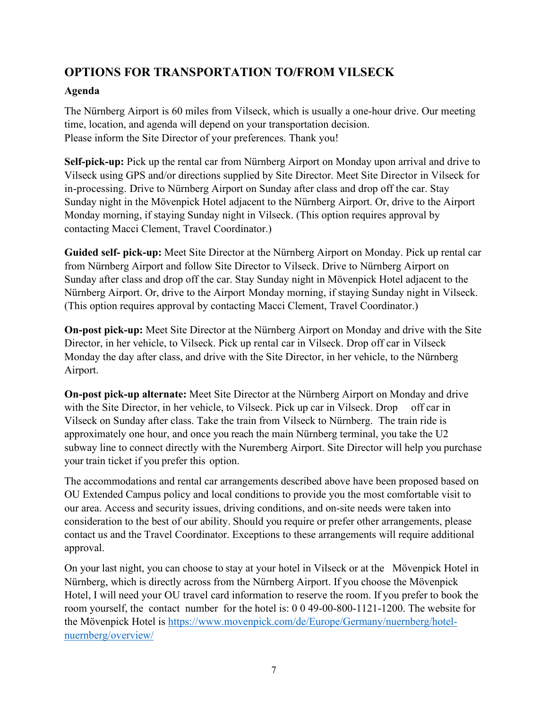## **OPTIONS FOR TRANSPORTATION TO/FROM VILSECK**

#### **Agenda**

The Nürnberg Airport is 60 miles from Vilseck, which is usually a one-hour drive. Our meeting time, location, and agenda will depend on your transportation decision. Please inform the Site Director of your preferences. Thank you!

**Self-pick-up:** Pick up the rental car from Nürnberg Airport on Monday upon arrival and drive to Vilseck using GPS and/or directions supplied by Site Director. Meet Site Director in Vilseck for in-processing. Drive to Nürnberg Airport on Sunday after class and drop off the car. Stay Sunday night in the Mövenpick Hotel adjacent to the Nürnberg Airport. Or, drive to the Airport Monday morning, if staying Sunday night in Vilseck. (This option requires approval by contacting Macci Clement, Travel Coordinator.)

**Guided self- pick-up:** Meet Site Director at the Nürnberg Airport on Monday. Pick up rental car from Nürnberg Airport and follow Site Director to Vilseck. Drive to Nürnberg Airport on Sunday after class and drop off the car. Stay Sunday night in Mövenpick Hotel adjacent to the Nürnberg Airport. Or, drive to the Airport Monday morning, if staying Sunday night in Vilseck. (This option requires approval by contacting Macci Clement, Travel Coordinator.)

**On-post pick-up:** Meet Site Director at the Nürnberg Airport on Monday and drive with the Site Director, in her vehicle, to Vilseck. Pick up rental car in Vilseck. Drop off car in Vilseck Monday the day after class, and drive with the Site Director, in her vehicle, to the Nürnberg Airport.

**On-post pick-up alternate:** Meet Site Director at the Nürnberg Airport on Monday and drive with the Site Director, in her vehicle, to Vilseck. Pick up car in Vilseck. Drop off car in Vilseck on Sunday after class. Take the train from Vilseck to Nürnberg. The train ride is approximately one hour, and once you reach the main Nürnberg terminal, you take the U2 subway line to connect directly with the Nuremberg Airport. Site Director will help you purchase your train ticket if you prefer this option.

The accommodations and rental car arrangements described above have been proposed based on OU Extended Campus policy and local conditions to provide you the most comfortable visit to our area. Access and security issues, driving conditions, and on-site needs were taken into consideration to the best of our ability. Should you require or prefer other arrangements, please contact us and the Travel Coordinator. Exceptions to these arrangements will require additional approval.

On your last night, you can choose to stay at your hotel in Vilseck or at the Mövenpick Hotel in Nürnberg, which is directly across from the Nürnberg Airport. If you choose the Mövenpick Hotel, I will need your OU travel card information to reserve the room. If you prefer to book the room yourself, the contact number for [the hotel is: 0 0 49-00-800-1121-1200. The website for](http://www.hotel.info/en/movenpick-hotel-nurnberg-)  [the Mövenpick Hotel is](http://www.hotel.info/en/movenpick-hotel-nurnberg-) [https://www.movenpick.com/de/Europe/Germany/nuernberg/hotel](https://www.movenpick.com/de/Europe/Germany/nuernberg/hotel-nuernberg/overview/)[nuernberg/overview/](https://www.movenpick.com/de/Europe/Germany/nuernberg/hotel-nuernberg/overview/)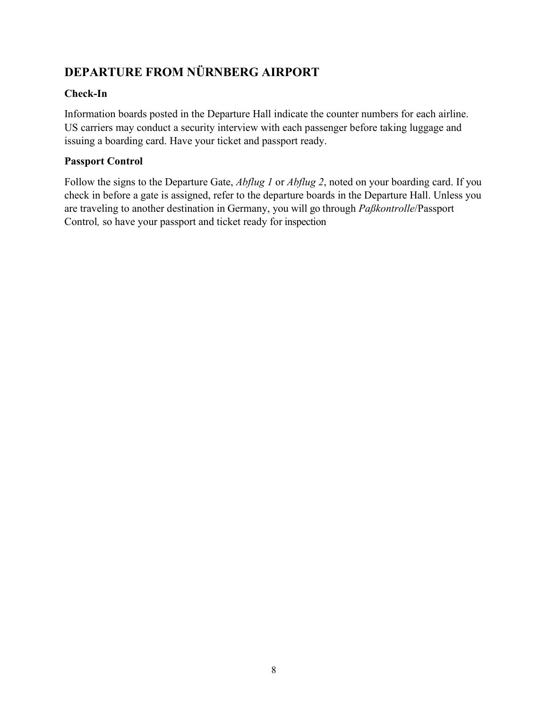## **DEPARTURE FROM NÜRNBERG AIRPORT**

#### **Check-In**

Information boards posted in the Departure Hall indicate the counter numbers for each airline. US carriers may conduct a security interview with each passenger before taking luggage and issuing a boarding card. Have your ticket and passport ready.

#### **Passport Control**

Follow the signs to the Departure Gate, *Abflug 1* or *Abflug 2*, noted on your boarding card. If you check in before a gate is assigned, refer to the departure boards in the Departure Hall. Unless you are traveling to another destination in Germany, you will go through *Paßkontrolle*/Passport Control*,* so have your passport and ticket ready for inspection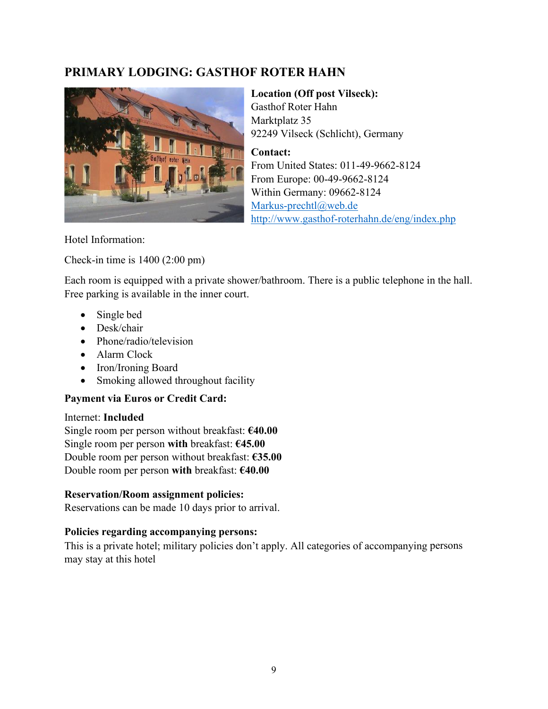### **PRIMARY LODGING: GASTHOF ROTER HAHN**



**Location (Off post Vilseck):**  Gasthof Roter Hahn Marktplatz 35 92249 Vilseck (Schlicht), Germany

**Contact:**  From United States: 011-49-9662-8124 From Europe: 00-49-9662-8124 Within Germany: 09662-8124 [Markus-prechtl@web.de](mailto:Markus-prechtl@web.de) <http://www.gasthof-roterhahn.de/eng/index.php>

Hotel Information:

Check-in time is 1400 (2:00 pm)

Each room is equipped with a private shower/bathroom. There is a public telephone in the hall. Free parking is available in the inner court.

- Single bed
- Desk/chair
- Phone/radio/television
- Alarm Clock
- Iron/Ironing Board
- Smoking allowed throughout facility

#### **Payment via Euros or Credit Card:**

#### Internet: **Included**

Single room per person without breakfast: **€40.00**  Single room per person **with** breakfast: **€45.00**  Double room per person without breakfast: **€35.00**  Double room per person **with** breakfast: **€40.00**

#### **Reservation/Room assignment policies:**

Reservations can be made 10 days prior to arrival.

#### **Policies regarding accompanying persons:**

This is a private hotel; military policies don't apply. All categories of accompanying persons may stay at this hotel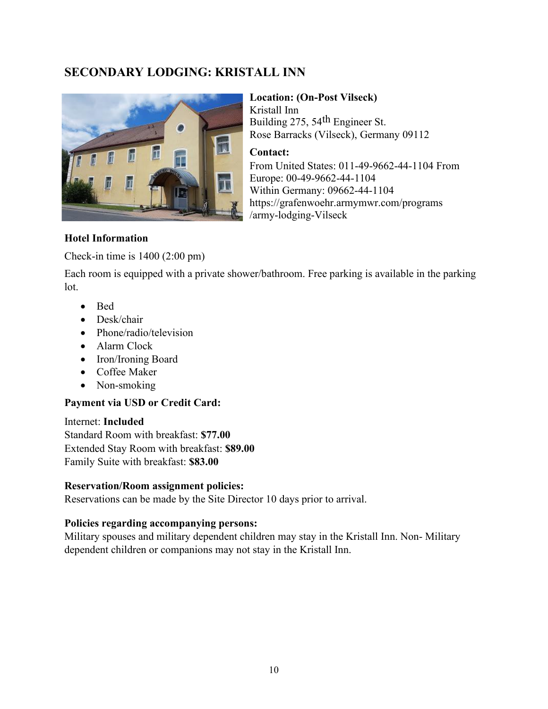### **SECONDARY LODGING: KRISTALL INN**



#### **Location: (On-Post Vilseck)** Kristall Inn

Building 275, 54<sup>th</sup> Engineer St. Rose Barracks (Vilseck), Germany 09112

#### **Contact:**

From United States: 011-49-9662-44-1104 From Europe: 00-49-9662-44-1104 Within Germany: 09662-44-1104 https://grafenwoehr.armymwr.com/programs /army-lodging-Vilseck

#### **Hotel Information**

Check-in time is 1400 (2:00 pm)

Each room is equipped with a private shower/bathroom. Free parking is available in the parking lot.

- Bed
- Desk/chair
- Phone/radio/television
- Alarm Clock
- Iron/Ironing Board
- Coffee Maker
- Non-smoking

#### **Payment via USD or Credit Card:**

#### Internet: **Included**

Standard Room with breakfast: **\$77.00**  Extended Stay Room with breakfast: **\$89.00**  Family Suite with breakfast: **\$83.00**

#### **Reservation/Room assignment policies:**

Reservations can be made by the Site Director 10 days prior to arrival.

#### **Policies regarding accompanying persons:**

Military spouses and military dependent children may stay in the Kristall Inn. Non- Military dependent children or companions may not stay in the Kristall Inn.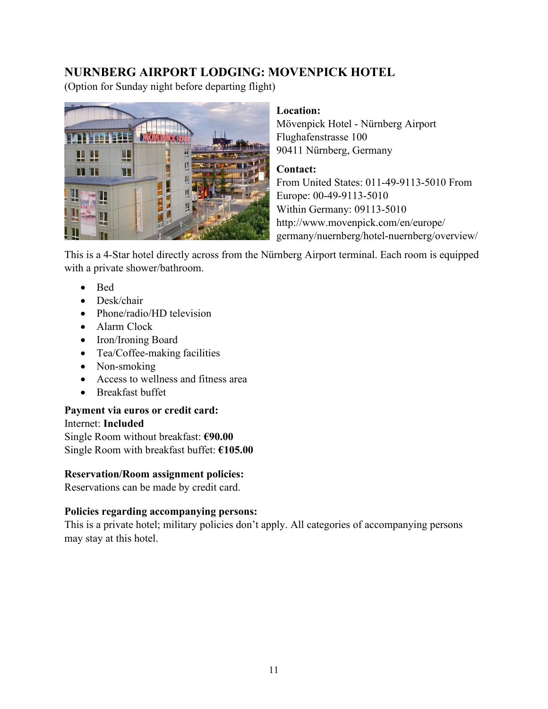## **NURNBERG AIRPORT LODGING: MOVENPICK HOTEL**

(Option for Sunday night before departing flight)



#### **Location:**

Mövenpick Hotel - Nürnberg Airport Flughafenstrasse 100 90411 Nürnberg, Germany

#### **Contact:**

From United States: 011-49-9113-5010 From Europe: 00-49-9113-5010 Within Germany: 09113-501[0](http://www.movenpick.com/en/europe/) <http://www.movenpick.com/en/europe/> germany/nuernberg/hotel-nuernberg/overview/

This is a 4-Star hotel directly across from the Nürnberg Airport terminal. Each room is equipped with a private shower/bathroom.

- Bed
- Desk/chair
- Phone/radio/HD television
- Alarm Clock
- Iron/Ironing Board
- Tea/Coffee-making facilities
- Non-smoking
- Access to wellness and fitness area
- Breakfast buffet

#### **Payment via euros or credit card:**

Internet: **Included** Single Room without breakfast: **€90.00** Single Room with breakfast buffet: **€105.00**

#### **Reservation/Room assignment policies:**

Reservations can be made by credit card.

#### **Policies regarding accompanying persons:**

This is a private hotel; military policies don't apply. All categories of accompanying persons may stay at this hotel.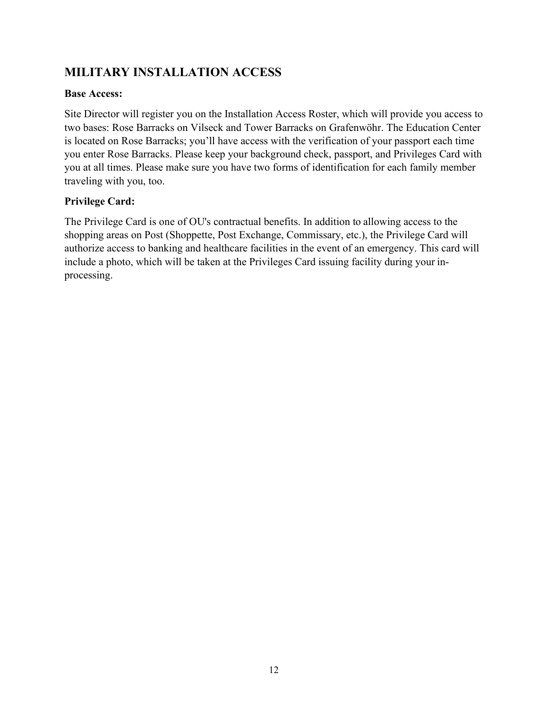## **MILITARY INSTALLATION ACCESS**

#### **Base Access:**

Site Director will register you on the Installation Access Roster, which will provide you access to two bases: Rose Barracks on Vilseck and Tower Barracks on Grafenwöhr. The Education Center is located on Rose Barracks; you'll have access with the verification of your passport each time you enter Rose Barracks. Please keep your background check, passport, and Privileges Card with you at all times. Please make sure you have two forms of identification for each family member traveling with you, too.

#### **Privilege Card:**

The Privilege Card is one of OU's contractual benefits. In addition to allowing access to the shopping areas on Post (Shoppette, Post Exchange, Commissary, etc.), the Privilege Card will authorize access to banking and healthcare facilities in the event of an emergency. This card will include a photo, which will be taken at the Privileges Card issuing facility during your inprocessing.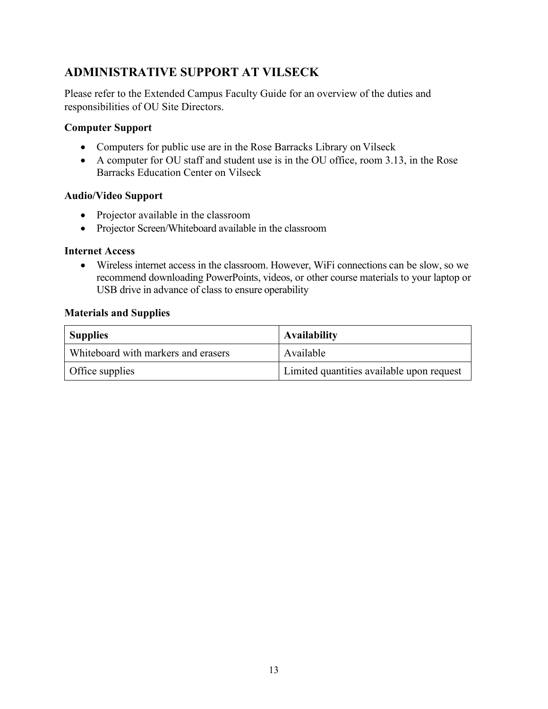## **ADMINISTRATIVE SUPPORT AT VILSECK**

Please refer to the Extended Campus Faculty Guide for an overview of the duties and responsibilities of OU Site Directors.

#### **Computer Support**

- Computers for public use are in the Rose Barracks Library on Vilseck
- A computer for OU staff and student use is in the OU office, room 3.13, in the Rose Barracks Education Center on Vilseck

#### **Audio/Video Support**

- Projector available in the classroom
- Projector Screen/Whiteboard available in the classroom

#### **Internet Access**

• Wireless internet access in the classroom. However, WiFi connections can be slow, so we recommend downloading PowerPoints, videos, or other course materials to your laptop or USB drive in advance of class to ensure operability

#### **Materials and Supplies**

| <b>Supplies</b>                     | Availability                              |
|-------------------------------------|-------------------------------------------|
| Whiteboard with markers and erasers | Available                                 |
| Office supplies                     | Limited quantities available upon request |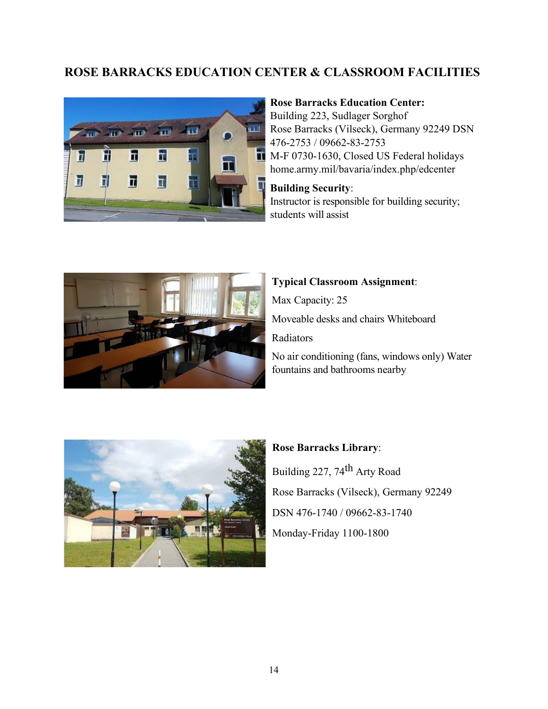## **ROSE BARRACKS EDUCATION CENTER & CLASSROOM FACILITIES**



#### **Rose Barracks Education Center:**

Building 223, Sudlager Sorghof Rose Barracks (Vilseck), Germany 92249 DSN 476-2753 / 09662-83-2753 M-F 0730-1630, Closed US Federal holidays [home.army.mil/bavaria/index.php/edcenter](http://www.bavaria.army.mil/edcenter/)

## **Building Security**:

Instructor is responsible for building security; students will assist



## **Typical Classroom Assignment**:

Max Capacity: 25 Moveable desks and chairs Whiteboard

Radiators

No air conditioning (fans, windows only) Water fountains and bathrooms nearby



# **Rose Barracks Library**:

Building 227, 74th Arty Road Rose Barracks (Vilseck), Germany 92249 DSN 476-1740 / 09662-83-1740 Monday-Friday 1100-1800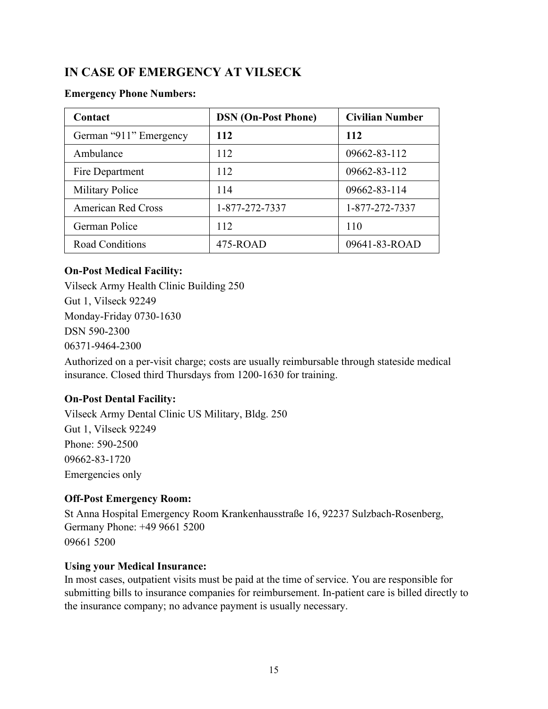## **IN CASE OF EMERGENCY AT VILSECK**

| Contact                   | <b>DSN</b> (On-Post Phone) | <b>Civilian Number</b> |
|---------------------------|----------------------------|------------------------|
| German "911" Emergency    | 112                        | 112                    |
| Ambulance                 | 112                        | 09662-83-112           |
| Fire Department           | 112                        | 09662-83-112           |
| <b>Military Police</b>    | 114                        | 09662-83-114           |
| <b>American Red Cross</b> | 1-877-272-7337             | 1-877-272-7337         |
| German Police             | 112                        | 110                    |
| Road Conditions           | 475-ROAD                   | 09641-83-ROAD          |

#### **Emergency Phone Numbers:**

#### **On-Post Medical Facility:**

Vilseck Army Health Clinic Building 250 Gut 1, Vilseck 92249 Monday-Friday 0730-1630 DSN 590-2300 06371-9464-2300 Authorized on a per-visit charge; costs are usually reimbursable through stateside medical

#### **On-Post Dental Facility:**

Vilseck Army Dental Clinic US Military, Bldg. 250 Gut 1, Vilseck 92249 Phone: 590-2500 09662-83-1720 Emergencies only

insurance. Closed third Thursdays from 1200-1630 for training.

#### **Off-Post Emergency Room:**

St Anna Hospital Emergency Room Krankenhausstraße 16, 92237 Sulzbach-Rosenberg, Germany Phone: +49 9661 5200 09661 5200

#### **Using your Medical Insurance:**

In most cases, outpatient visits must be paid at the time of service. You are responsible for submitting bills to insurance companies for reimbursement. In-patient care is billed directly to the insurance company; no advance payment is usually necessary.